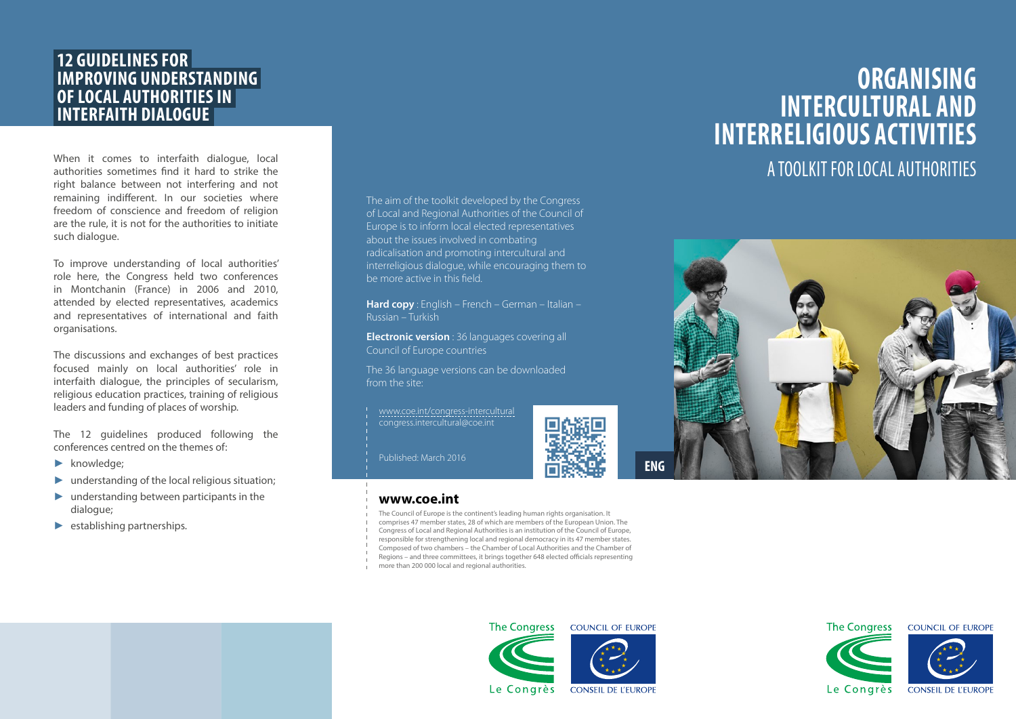## **12 GUIDELINES FOR IMPROVING UNDERSTANDING OF LOCAL AUTHORITIES IN INTERFAITH DIALOGUE**

When it comes to interfaith dialogue, local authorities sometimes find it hard to strike the right balance between not interfering and not remaining indifferent. In our societies where freedom of conscience and freedom of religion are the rule, it is not for the authorities to initiate such dialogue.

To improve understanding of local authorities' role here, the Congress held two conferences in Montchanin (France) in 2006 and 2010, attended by elected representatives, academics and representatives of international and faith organisations.

The discussions and exchanges of best practices focused mainly on local authorities' role in interfaith dialogue, the principles of secularism, religious education practices, training of religious leaders and funding of places of worship.

The 12 guidelines produced following the conferences centred on the themes of:

- ► knowledge;
- $\blacktriangleright$  understanding of the local religious situation;
- $\blacktriangleright$  understanding between participants in the dialogue;
- $\blacktriangleright$  establishing partnerships.

The aim of the toolkit developed by the Congress of Local and Regional Authorities of the Council of Europe is to inform local elected representatives about the issues involved in combating radicalisation and promoting intercultural and interreligious dialogue, while encouraging them to be more active in this field.

**Hard copy** : English – French – German – Italian – Russian – Turkish

**Electronic version** : 36 languages covering all Council of Europe countries

The 36 language versions can be downloaded from the site:

www.coe.int/congress-intercultural congress.intercultural@coe.int



Published: March 2016

#### **www.coe.int**

The Council of Europe is the continent's leading human rights organisation. It comprises 47 member states, 28 of which are members of the European Union. The

- Congress of Local and Regional Authorities is an institution of the Council of Europe,
- responsible for strengthening local and regional democracy in its 47 member states.
- Composed of two chambers the Chamber of Local Authorities and the Chamber of
- Regions and three committees, it brings together 648 elected officials representing

more than 200 000 local and regional authorities.



# **ORGANISING INTERCULTURAL AND INTERRELIGIOUS ACTIVITIES**

## A TOOLKIT FOR LOCAL AUTHORITIES